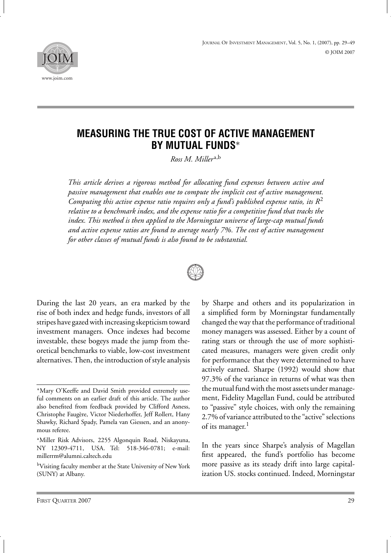



# **MEASURING THE TRUE COST OF ACTIVE MANAGEMENT BY MUTUAL FUNDS**∗

*Ross M. Miller* a,b

*This article derives a rigorous method for allocating fund expenses between active and passive management that enables one to compute the implicit cost of active management. Computing this active expense ratio requires only a fund's published expense ratio, its R*<sup>2</sup> *relative to a benchmark index, and the expense ratio for a competitive fund that tracks the index. This method is then applied to the Morningstar universe of large-cap mutual funds and active expense ratios are found to average nearly 7%. The cost of active management for other classes of mutual funds is also found to be substantial.*



During the last 20 years, an era marked by the rise of both index and hedge funds, investors of all stripes have gazed with increasing skepticism toward investment managers. Once indexes had become investable, these bogeys made the jump from theoretical benchmarks to viable, low-cost investment alternatives. Then, the introduction of style analysis by Sharpe and others and its popularization in a simplified form by Morningstar fundamentally changed the way that the performance of traditional money managers was assessed. Either by a count of rating stars or through the use of more sophisticated measures, managers were given credit only for performance that they were determined to have actively earned. Sharpe (1992) would show that 97.3% of the variance in returns of what was then the mutual fund with the most assets under management, Fidelity Magellan Fund, could be attributed to "passive" style choices, with only the remaining 2.7% of variance attributed to the "active" selections of its manager.<sup>1</sup>

In the years since Sharpe's analysis of Magellan first appeared, the fund's portfolio has become more passive as its steady drift into large capitalization US. stocks continued. Indeed, Morningstar

<sup>∗</sup>Mary O'Keeffe and David Smith provided extremely useful comments on an earlier draft of this article. The author also benefited from feedback provided by Clifford Asness, Christophe Faugère, Victor Niederhoffer, Jeff Rollert, Hany Shawky, Richard Spady, Pamela van Giessen, and an anonymous referee.

a Miller Risk Advisors, 2255 Algonquin Road, Niskayuna, NY 12309-4711, USA. Tel: 518-346-0781; e-mail: millerrm@alumni.caltech.edu

bVisiting faculty member at the State University of New York (SUNY) at Albany.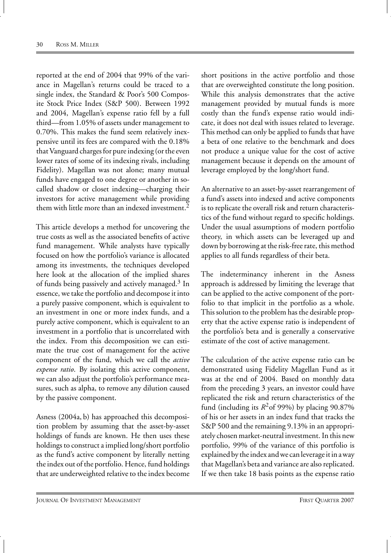reported at the end of 2004 that 99% of the variance in Magellan's returns could be traced to a single index, the Standard & Poor's 500 Composite Stock Price Index (S&P 500). Between 1992 and 2004, Magellan's expense ratio fell by a full third—from 1.05% of assets under management to 0.70%. This makes the fund seem relatively inexpensive until its fees are compared with the 0.18% that Vanguard charges for pure indexing (or the even lower rates of some of its indexing rivals, including Fidelity). Magellan was not alone; many mutual funds have engaged to one degree or another in socalled shadow or closet indexing—charging their investors for active management while providing them with little more than an indexed investment.<sup>2</sup>

This article develops a method for uncovering the true costs as well as the associated benefits of active fund management. While analysts have typically focused on how the portfolio's variance is allocated among its investments, the techniques developed here look at the allocation of the implied shares of funds being passively and actively managed.<sup>3</sup> In essence, we take the portfolio and decompose it into a purely passive component, which is equivalent to an investment in one or more index funds, and a purely active component, which is equivalent to an investment in a portfolio that is uncorrelated with the index. From this decomposition we can estimate the true cost of management for the active component of the fund, which we call the *active expense ratio*. By isolating this active component, we can also adjust the portfolio's performance measures, such as alpha, to remove any dilution caused by the passive component.

Asness (2004a, b) has approached this decomposition problem by assuming that the asset-by-asset holdings of funds are known. He then uses these holdings to construct a implied long/short portfolio as the fund's active component by literally netting the index out of the portfolio. Hence, fund holdings that are underweighted relative to the index become

short positions in the active portfolio and those that are overweighted constitute the long position. While this analysis demonstrates that the active management provided by mutual funds is more costly than the fund's expense ratio would indicate, it does not deal with issues related to leverage. This method can only be applied to funds that have a beta of one relative to the benchmark and does not produce a unique value for the cost of active management because it depends on the amount of leverage employed by the long/short fund.

An alternative to an asset-by-asset rearrangement of a fund's assets into indexed and active components is to replicate the overall risk and return characteristics of the fund without regard to specific holdings. Under the usual assumptions of modern portfolio theory, in which assets can be leveraged up and down by borrowing at the risk-free rate, this method applies to all funds regardless of their beta.

The indeterminancy inherent in the Asness approach is addressed by limiting the leverage that can be applied to the active component of the portfolio to that implicit in the portfolio as a whole. This solution to the problem has the desirable property that the active expense ratio is independent of the portfolio's beta and is generally a conservative estimate of the cost of active management.

The calculation of the active expense ratio can be demonstrated using Fidelity Magellan Fund as it was at the end of 2004. Based on monthly data from the preceding 3 years, an investor could have replicated the risk and return characteristics of the fund (including its  $R^2$ of 99%) by placing 90.87% of his or her assets in an index fund that tracks the S&P 500 and the remaining 9.13% in an appropriately chosen market-neutral investment. In this new portfolio, 99% of the variance of this portfolio is explained by the index andwe can leverage it in away that Magellan's beta and variance are also replicated. If we then take 18 basis points as the expense ratio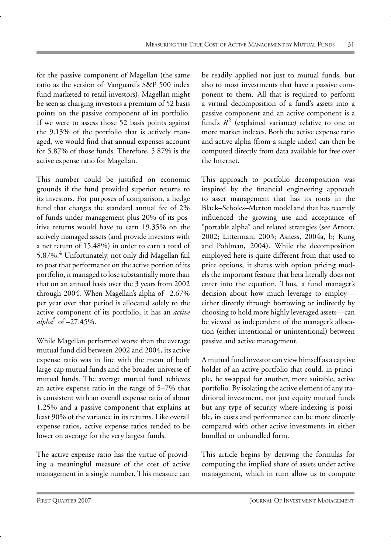for the passive component of Magellan (the same ratio as the version of Vanguard's S&P 500 index fund marketed to retail investors), Magellan might be seen as charging investors a premium of 52 basis points on the passive component of its portfolio. If we were to assess those 52 basis points against the 9.13% of the portfolio that is actively managed, we would find that annual expenses account for 5.87% of those funds. Therefore, 5.87% is the active expense ratio for Magellan.

This number could be justified on economic grounds if the fund provided superior returns to its investors. For purposes of comparison, a hedge fund that charges the standard annual fee of 2% of funds under management plus 20% of its positive returns would have to earn 19.35% on the actively managed assets (and provide investors with a net return of 15.48%) in order to earn a total of 5.87%.<sup>4</sup> Unfortunately, not only did Magellan fail to post that performance on the active portion of its portfolio, it managed to lose substantially more than that on an annual basis over the 3 years from 2002 through 2004. When Magellan's alpha of –2.67% per year over that period is allocated solely to the active component of its portfolio, it has an *active alpha*<sup>5</sup> of  $-27.45%$ .

While Magellan performed worse than the average mutual fund did between 2002 and 2004, its active expense ratio was in line with the mean of both large-cap mutual funds and the broader universe of mutual funds. The average mutual fund achieves an active expense ratio in the range of 5–7% that is consistent with an overall expense ratio of about 1.25% and a passive component that explains at least 90% of the variance in its returns. Like overall expense ratios, active expense ratios tended to be lower on average for the very largest funds.

The active expense ratio has the virtue of providing a meaningful measure of the cost of active management in a single number. This measure can be readily applied not just to mutual funds, but also to most investments that have a passive component to them. All that is required to perform a virtual decomposition of a fund's assets into a passive component and an active component is a fund's *R*<sup>2</sup> (explained variance) relative to one or more market indexes. Both the active expense ratio and active alpha (from a single index) can then be computed directly from data available for free over the Internet.

This approach to portfolio decomposition was inspired by the financial engineering approach to asset management that has its roots in the Black–Scholes–Merton model and that has recently influenced the growing use and acceptance of "portable alpha" and related strategies (see Arnott, 2002; Litterman, 2003; Asness, 2004a, b; Kung and Pohlman, 2004). While the decomposition employed here is quite different from that used to price options, it shares with option pricing models the important feature that beta literally does not enter into the equation. Thus, a fund manager's decision about how much leverage to employ either directly through borrowing or indirectly by choosing to hold more highly leveraged assets—can be viewed as independent of the manager's allocation (either intentional or unintentional) between passive and active management.

A mutual fund investor can view himself as a captive holder of an active portfolio that could, in principle, be swapped for another, more suitable, active portfolio. By isolating the active element of any traditional investment, not just equity mutual funds but any type of security where indexing is possible, its costs and performance can be more directly compared with other active investments in either bundled or unbundled form.

This article begins by deriving the formulas for computing the implied share of assets under active management, which in turn allow us to compute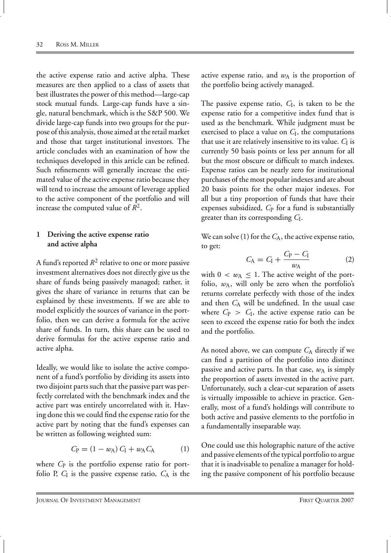the active expense ratio and active alpha. These measures are then applied to a class of assets that best illustrates the power of this method—large-cap stock mutual funds. Large-cap funds have a single, natural benchmark, which is the S&P 500. We divide large-cap funds into two groups for the purpose of this analysis, those aimed at the retail market and those that target institutional investors. The article concludes with an examination of how the techniques developed in this article can be refined. Such refinements will generally increase the estimated value of the active expense ratio because they will tend to increase the amount of leverage applied to the active component of the portfolio and will increase the computed value of  $R^2$ .

### **1 Deriving the active expense ratio and active alpha**

A fund's reported  $R^2$  relative to one or more passive investment alternatives does not directly give us the share of funds being passively managed; rather, it gives the share of variance in returns that can be explained by these investments. If we are able to model explicitly the sources of variance in the portfolio, then we can derive a formula for the active share of funds. In turn, this share can be used to derive formulas for the active expense ratio and active alpha.

Ideally, we would like to isolate the active component of a fund's portfolio by dividing its assets into two disjoint parts such that the passive part was perfectly correlated with the benchmark index and the active part was entirely uncorrelated with it. Having done this we could find the expense ratio for the active part by noting that the fund's expenses can be written as following weighted sum:

$$
C_{\rm P} = (1 - w_{\rm A}) C_{\rm I} + w_{\rm A} C_{\rm A} \tag{1}
$$

where  $C_P$  is the portfolio expense ratio for portfolio P,  $C_I$  is the passive expense ratio,  $C_A$  is the active expense ratio, and  $w_A$  is the proportion of the portfolio being actively managed.

The passive expense ratio, *C*I, is taken to be the expense ratio for a competitive index fund that is used as the benchmark. While judgment must be exercised to place a value on  $C_I$ , the computations that use it are relatively insensitive to its value.  $C_I$  is currently 50 basis points or less per annum for all but the most obscure or difficult to match indexes. Expense ratios can be nearly zero for institutional purchases of the most popular indexes and are about 20 basis points for the other major indexes. For all but a tiny proportion of funds that have their expenses subsidized, *C*<sub>P</sub> for a fund is substantially greater than its corresponding *C*I.

We can solve (1) for the *C*A, the active expense ratio, to get:

$$
C_{\rm A} = C_{\rm I} + \frac{C_{\rm P} - C_{\rm I}}{w_{\rm A}} \tag{2}
$$

with  $0 < w_A \leq 1$ . The active weight of the portfolio,  $w_A$ , will only be zero when the portfolio's returns correlate perfectly with those of the index and then  $C_A$  will be undefined. In the usual case where  $C_P > C_I$ , the active expense ratio can be seen to exceed the expense ratio for both the index and the portfolio.

As noted above, we can compute  $C_A$  directly if we can find a partition of the portfolio into distinct passive and active parts. In that case,  $w_A$  is simply the proportion of assets invested in the active part. Unfortunately, such a clear-cut separation of assets is virtually impossible to achieve in practice. Generally, most of a fund's holdings will contribute to both active and passive elements to the portfolio in a fundamentally inseparable way.

One could use this holographic nature of the active and passive elements of the typical portfolio to argue that it is inadvisable to penalize a manager for holding the passive component of his portfolio because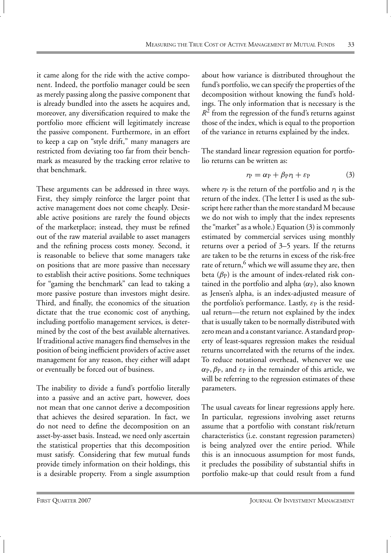it came along for the ride with the active component. Indeed, the portfolio manager could be seen as merely passing along the passive component that is already bundled into the assets he acquires and, moreover, any diversification required to make the portfolio more efficient will legitimately increase the passive component. Furthermore, in an effort to keep a cap on "style drift," many managers are restricted from deviating too far from their benchmark as measured by the tracking error relative to that benchmark.

These arguments can be addressed in three ways. First, they simply reinforce the larger point that active management does not come cheaply. Desirable active positions are rarely the found objects of the marketplace; instead, they must be refined out of the raw material available to asset managers and the refining process costs money. Second, it is reasonable to believe that some managers take on positions that are more passive than necessary to establish their active positions. Some techniques for "gaming the benchmark" can lead to taking a more passive posture than investors might desire. Third, and finally, the economics of the situation dictate that the true economic cost of anything, including portfolio management services, is determined by the cost of the best available alternatives. If traditional active managers find themselves in the position of being inefficient providers of active asset management for any reason, they either will adapt or eventually be forced out of business.

The inability to divide a fund's portfolio literally into a passive and an active part, however, does not mean that one cannot derive a decomposition that achieves the desired separation. In fact, we do not need to define the decomposition on an asset-by-asset basis. Instead, we need only ascertain the statistical properties that this decomposition must satisfy. Considering that few mutual funds provide timely information on their holdings, this is a desirable property. From a single assumption about how variance is distributed throughout the fund's portfolio, we can specify the properties of the decomposition without knowing the fund's holdings. The only information that is necessary is the  $R<sup>2</sup>$  from the regression of the fund's returns against those of the index, which is equal to the proportion of the variance in returns explained by the index.

The standard linear regression equation for portfolio returns can be written as:

$$
r_{\rm P} = \alpha_{\rm P} + \beta_{\rm P} r_{\rm I} + \varepsilon_{\rm P} \tag{3}
$$

where  $r_P$  is the return of the portfolio and  $r_I$  is the return of the index. (The letter I is used as the subscript here rather than the more standard M because we do not wish to imply that the index represents the "market" as a whole.) Equation (3) is commonly estimated by commercial services using monthly returns over a period of 3–5 years. If the returns are taken to be the returns in excess of the risk-free rate of return, $6$  which we will assume they are, then beta  $(\beta_P)$  is the amount of index-related risk contained in the portfolio and alpha  $(\alpha_P)$ , also known as Jensen's alpha, is an index-adjusted measure of the portfolio's performance. Lastly,  $\varepsilon_P$  is the residual return—the return not explained by the index that is usually taken to be normally distributed with zero mean and a constant variance. A standard property of least-squares regression makes the residual returns uncorrelated with the returns of the index. To reduce notational overhead, whenever we use  $\alpha_{\rm P}, \beta_{\rm P}$ , and  $\varepsilon_{\rm P}$  in the remainder of this article, we will be referring to the regression estimates of these parameters.

The usual caveats for linear regressions apply here. In particular, regressions involving asset returns assume that a portfolio with constant risk/return characteristics (i.e. constant regression parameters) is being analyzed over the entire period. While this is an innocuous assumption for most funds, it precludes the possibility of substantial shifts in portfolio make-up that could result from a fund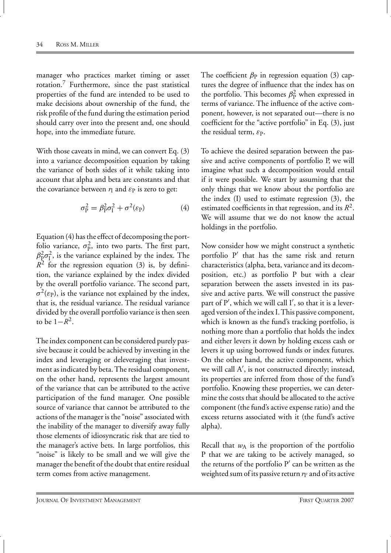manager who practices market timing or asset rotation.7 Furthermore, since the past statistical properties of the fund are intended to be used to make decisions about ownership of the fund, the risk profile of the fund during the estimation period should carry over into the present and, one should hope, into the immediate future.

With those caveats in mind, we can convert Eq. (3) into a variance decomposition equation by taking the variance of both sides of it while taking into account that alpha and beta are constants and that the covariance between  $r<sub>I</sub>$  and  $\varepsilon<sub>P</sub>$  is zero to get:

$$
\sigma_{\rm P}^2 = \beta_{\rm P}^2 \sigma_{\rm I}^2 + \sigma^2(\varepsilon_{\rm P})
$$
 (4)

Equation (4) has the effect of decomposing the portfolio variance,  $\sigma_{\rm p}^2$ , into two parts. The first part,  $\beta_{\rm p}^2 \sigma_{\rm l}^2$ , is the variance explained by the index. The  $R^2$  for the regression equation (3) is, by definition, the variance explained by the index divided by the overall portfolio variance. The second part,  $\sigma^2(\varepsilon_P)$ , is the variance not explained by the index, that is, the residual variance. The residual variance divided by the overall portfolio variance is then seen to be 1−*R*2.

The index component can be considered purely passive because it could be achieved by investing in the index and leveraging or deleveraging that investment as indicated by beta. The residual component, on the other hand, represents the largest amount of the variance that can be attributed to the active participation of the fund manager. One possible source of variance that cannot be attributed to the actions of the manager is the "noise" associated with the inability of the manager to diversify away fully those elements of idiosyncratic risk that are tied to the manager's active bets. In large portfolios, this "noise" is likely to be small and we will give the manager the benefit of the doubt that entire residual term comes from active management.

The coefficient  $\beta_P$  in regression equation (3) captures the degree of influence that the index has on the portfolio. This becomes  $\beta_{\rm P}^2$  when expressed in terms of variance. The influence of the active component, however, is not separated out—there is no coefficient for the "active portfolio" in Eq. (3), just the residual term,  $\varepsilon_{P}$ .

To achieve the desired separation between the passive and active components of portfolio P, we will imagine what such a decomposition would entail if it were possible. We start by assuming that the only things that we know about the portfolio are the index (I) used to estimate regression (3), the estimated coefficients in that regression, and its  $R^2$ . We will assume that we do not know the actual holdings in the portfolio.

Now consider how we might construct a synthetic portfolio  $P'$  that has the same risk and return characteristics (alpha, beta, variance and its decomposition, etc.) as portfolio P but with a clear separation between the assets invested in its passive and active parts. We will construct the passive part of P , which we will call I , so that it is a leveraged version of the index I.This passive component, which is known as the fund's tracking portfolio, is nothing more than a portfolio that holds the index and either levers it down by holding excess cash or levers it up using borrowed funds or index futures. On the other hand, the active component, which we will call A , is not constructed directly; instead, its properties are inferred from those of the fund's portfolio. Knowing these properties, we can determine the costs that should be allocated to the active component (the fund's active expense ratio) and the excess returns associated with it (the fund's active alpha).

Recall that  $w_A$  is the proportion of the portfolio P that we are taking to be actively managed, so the returns of the portfolio  $P'$  can be written as the weighted sum of its passive return  $r<sub>I'</sub>$  and of its active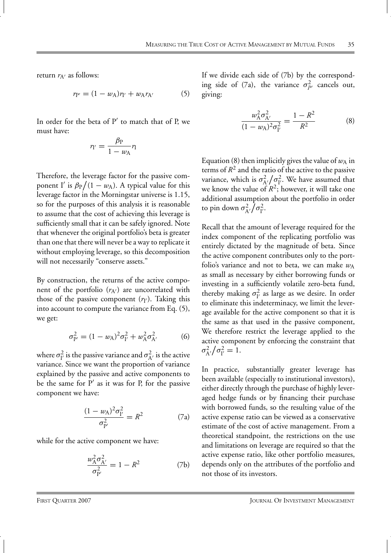return  $r_{A'}$  as follows:

$$
r_{P'} = (1 - w_A)r_{I'} + w_A r_{A'}
$$
 (5)

In order for the beta of  $P'$  to match that of P, we must have:

$$
r_{I'} = \frac{\beta_{P}}{1 - w_{A}} r_{I}
$$

Therefore, the leverage factor for the passive component I' is  $\beta_P/(1-w_A)$ . A typical value for this leverage factor in the Morningstar universe is 1.15, so for the purposes of this analysis it is reasonable to assume that the cost of achieving this leverage is sufficiently small that it can be safely ignored. Note that whenever the original portfolio's beta is greater than one that there will never be a way to replicate it without employing leverage, so this decomposition will not necessarily "conserve assets."

By construction, the returns of the active component of the portfolio  $(r_{A})$  are uncorrelated with those of the passive component  $(r<sub>I</sub>)$ . Taking this into account to compute the variance from Eq. (5), we get:

$$
\sigma_{P'}^2 = (1 - w_A)^2 \sigma_{I'}^2 + w_A^2 \sigma_{A'}^2 \tag{6}
$$

where  $\sigma_{\mathrm{I'}}^2$  is the passive variance and  $\sigma_{\mathrm{A'}}^2$  is the active variance. Since we want the proportion of variance explained by the passive and active components to be the same for  $P'$  as it was for P, for the passive component we have:

$$
\frac{(1 - w_{A})^{2} \sigma_{I'}^{2}}{\sigma_{P'}^{2}} = R^{2}
$$
 (7a)

while for the active component we have:

$$
\frac{w_{A}^{2}\sigma_{A'}^{2}}{\sigma_{P'}^{2}} = 1 - R^{2}
$$
 (7b)

If we divide each side of (7b) by the corresponding side of (7a), the variance  $\sigma_{p'}^2$  cancels out, giving:

$$
\frac{w_{A}^{2}\sigma_{A'}^{2}}{(1-w_{A})^{2}\sigma_{I'}^{2}} = \frac{1-R^{2}}{R^{2}}
$$
 (8)

Equation (8) then implicitly gives the value of  $w_A$  in terms of  $R^2$  and the ratio of the active to the passive variance, which is  $\sigma_{A'}^2 / \sigma_{I'}^2$ . We have assumed that we know the value of  $R^2$ ; however, it will take one additional assumption about the portfolio in order to pin down  $\sigma_{A'}^2/\sigma_{I'}^2$ .

Recall that the amount of leverage required for the index component of the replicating portfolio was entirely dictated by the magnitude of beta. Since the active component contributes only to the portfolio's variance and not to beta, we can make  $w_A$ as small as necessary by either borrowing funds or investing in a sufficiently volatile zero-beta fund, thereby making  $\sigma_{I'}^2$  as large as we desire. In order to eliminate this indeterminacy, we limit the leverage available for the active component so that it is the same as that used in the passive component, We therefore restrict the leverage applied to the active component by enforcing the constraint that  $\sigma_{A'}^2 / \sigma_{I'}^2 = 1.$ 

In practice, substantially greater leverage has been available (especially to institutional investors), either directly through the purchase of highly leveraged hedge funds or by financing their purchase with borrowed funds, so the resulting value of the active expense ratio can be viewed as a conservative estimate of the cost of active management. From a theoretical standpoint, the restrictions on the use and limitations on leverage are required so that the active expense ratio, like other portfolio measures, depends only on the attributes of the portfolio and not those of its investors.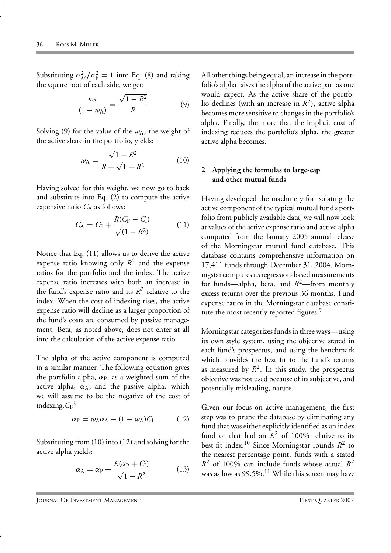Substituting  $\sigma_{A'}^2 / \sigma_{I'}^2 = 1$  into Eq. (8) and taking the square root of each side, we get:

$$
\frac{w_{A}}{(1-w_{A})} = \frac{\sqrt{1-R^{2}}}{R}
$$
 (9)

Solving (9) for the value of the  $w_A$ , the weight of the active share in the portfolio, yields:

$$
w_{A} = \frac{\sqrt{1 - R^{2}}}{R + \sqrt{1 - R^{2}}}
$$
 (10)

Having solved for this weight, we now go to back and substitute into Eq. (2) to compute the active expensive ratio  $C_A$  as follows:

$$
C_{A} = C_{P} + \frac{R(C_{P} - C_{I})}{\sqrt{(1 - R^{2})}}
$$
(11)

Notice that Eq. (11) allows us to derive the active expense ratio knowing only  $R^2$  and the expense ratios for the portfolio and the index. The active expense ratio increases with both an increase in the fund's expense ratio and its  $R^2$  relative to the index. When the cost of indexing rises, the active expense ratio will decline as a larger proportion of the fund's costs are consumed by passive management. Beta, as noted above, does not enter at all into the calculation of the active expense ratio.

The alpha of the active component is computed in a similar manner. The following equation gives the portfolio alpha,  $\alpha_{\rm P}$ , as a weighted sum of the active alpha,  $\alpha_A$ , and the passive alpha, which we will assume to be the negative of the cost of indexing,*C*I: 8

$$
\alpha_{\rm P} = w_{\rm A} \alpha_{\rm A} - (1 - w_{\rm A}) C_{\rm I} \tag{12}
$$

Substituting from (10) into (12) and solving for the active alpha yields:

$$
\alpha_{\rm A} = \alpha_{\rm P} + \frac{R(\alpha_{\rm P} + C_{\rm I})}{\sqrt{1 - R^2}} \tag{13}
$$

All other things being equal, an increase in the portfolio's alpha raises the alpha of the active part as one would expect. As the active share of the portfolio declines (with an increase in *R*2), active alpha becomes more sensitive to changes in the portfolio's alpha. Finally, the more that the implicit cost of indexing reduces the portfolio's alpha, the greater active alpha becomes.

## **2 Applying the formulas to large-cap and other mutual funds**

Having developed the machinery for isolating the active component of the typical mutual fund's portfolio from publicly available data, we will now look at values of the active expense ratio and active alpha computed from the January 2005 annual release of the Morningstar mutual fund database. This database contains comprehensive information on 17,411 funds through December 31, 2004. Morningstar computes its regression-based measurements for funds—alpha, beta, and *R*2—from monthly excess returns over the previous 36 months. Fund expense ratios in the Morningstar database constitute the most recently reported figures.<sup>9</sup>

Morningstar categorizes funds in three ways—using its own style system, using the objective stated in each fund's prospectus, and using the benchmark which provides the best fit to the fund's returns as measured by  $R^2$ . In this study, the prospectus objective was not used because of its subjective, and potentially misleading, nature.

Given our focus on active management, the first step was to prune the database by eliminating any fund that was either explicitly identified as an index fund or that had an  $R^2$  of 100% relative to its best-fit index.10 Since Morningstar rounds *R*<sup>2</sup> to the nearest percentage point, funds with a stated  $R^2$  of 100% can include funds whose actual  $R^2$ was as low as  $99.5\%$ .<sup>11</sup> While this screen may have

JOURNAL OF INVESTMENT MANAGEMENT **FIRST QUARTER 2007**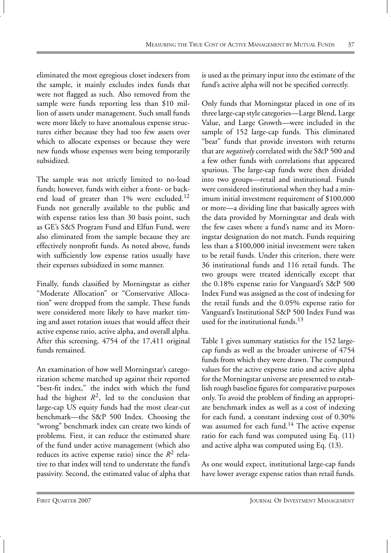eliminated the most egregious closet indexers from the sample, it mainly excludes index funds that were not flagged as such. Also removed from the sample were funds reporting less than \$10 million of assets under management. Such small funds were more likely to have anomalous expense structures either because they had too few assets over which to allocate expenses or because they were new funds whose expenses were being temporarily subsidized.

The sample was not strictly limited to no-load funds; however, funds with either a front- or backend load of greater than  $1\%$  were excluded.<sup>12</sup> Funds not generally available to the public and with expense ratios less than 30 basis point, such as GE's S&S Program Fund and Elfun Fund, were also eliminated from the sample because they are effectively nonprofit funds. As noted above, funds with sufficiently low expense ratios usually have their expenses subsidized in some manner.

Finally, funds classified by Morningstar as either "Moderate Allocation" or "Conservative Allocation" were dropped from the sample. These funds were considered more likely to have market timing and asset rotation issues that would affect their active expense ratio, active alpha, and overall alpha. After this screening, 4754 of the 17,411 original funds remained.

An examination of how well Morningstar's categorization scheme matched up against their reported "best-fit index," the index with which the fund had the highest  $R^2$ , led to the conclusion that large-cap US equity funds had the most clear-cut benchmark—the S&P 500 Index. Choosing the "wrong" benchmark index can create two kinds of problems. First, it can reduce the estimated share of the fund under active management (which also reduces its active expense ratio) since the  $R^2$  relative to that index will tend to understate the fund's passivity. Second, the estimated value of alpha that

is used as the primary input into the estimate of the fund's active alpha will not be specified correctly.

Only funds that Morningstar placed in one of its three large-cap style categories—Large Blend, Large Value, and Large Growth—were included in the sample of 152 large-cap funds. This eliminated "bear" funds that provide investors with returns that are *negatively* correlated with the S&P 500 and a few other funds with correlations that appeared spurious. The large-cap funds were then divided into two groups—retail and institutional. Funds were considered institutional when they had a minimum initial investment requirement of \$100,000 or more—a dividing line that basically agrees with the data provided by Morningstar and deals with the few cases where a fund's name and its Morningstar designation do not match. Funds requiring less than a \$100,000 initial investment were taken to be retail funds. Under this criterion, there were 36 institutional funds and 116 retail funds. The two groups were treated identically except that the 0.18% expense ratio for Vanguard's S&P 500 Index Fund was assigned as the cost of indexing for the retail funds and the 0.05% expense ratio for Vanguard's Institutional S&P 500 Index Fund was used for the institutional funds.<sup>13</sup>

Table 1 gives summary statistics for the 152 largecap funds as well as the broader universe of 4754 funds from which they were drawn. The computed values for the active expense ratio and active alpha for the Morningstar universe are presented to establish rough baseline figures for comparative purposes only. To avoid the problem of finding an appropriate benchmark index as well as a cost of indexing for each fund, a constant indexing cost of 0.30% was assumed for each fund.<sup>14</sup> The active expense ratio for each fund was computed using Eq. (11) and active alpha was computed using Eq. (13).

As one would expect, institutional large-cap funds have lower average expense ratios than retail funds.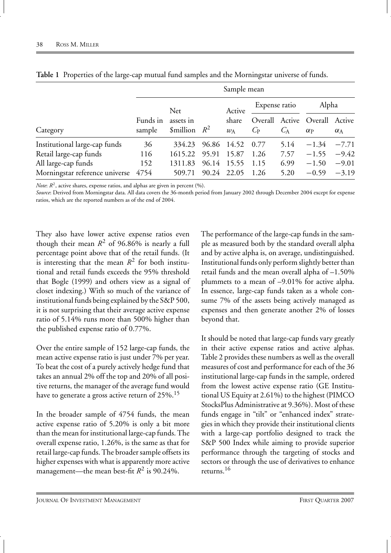|                                |          |                    |       | Sample mean |               |             |                               |                  |
|--------------------------------|----------|--------------------|-------|-------------|---------------|-------------|-------------------------------|------------------|
|                                |          | <b>Net</b>         |       | Active      | Expense ratio |             | Alpha                         |                  |
|                                | Funds in | assets in          |       | share       |               |             | Overall Active Overall Active |                  |
| Category                       | sample   | \$million          | $R^2$ | $w_A$       | $C_{\rm P}$   | $C_{\rm A}$ | $\alpha_{\rm P}$              | $\alpha_{\rm A}$ |
| Institutional large-cap funds  | 36       | 334.23 96.86 14.52 |       |             | 0.77          | 5.14        | $-1.34$                       | $-7.71$          |
| Retail large-cap funds         | 116      | 1615.22            | 95.91 | 15.87       | 1.26          | 7.57        | $-1.55$                       | $-9.42$          |
| All large-cap funds            | 152      | 1311.83            | 96.14 | 15.55       | 1.15          | 6.99        | $-1.50$                       | $-9.01$          |
| Morningstar reference universe | 4754     | 509.71             |       | 90.24 22.05 | 1.26          | 5.20        | $-0.59$                       | $-3.19$          |

|  |  |  |  |  | Table 1 Properties of the large-cap mutual fund samples and the Morningstar universe of funds. |  |  |
|--|--|--|--|--|------------------------------------------------------------------------------------------------|--|--|
|--|--|--|--|--|------------------------------------------------------------------------------------------------|--|--|

*Note*:  $R^2$ , active shares, expense ratios, and alphas are given in percent (%).

*Source*: Derived from Morningstar data. All data covers the 36-month period from January 2002 through December 2004 except for expense ratios, which are the reported numbers as of the end of 2004.

They also have lower active expense ratios even though their mean  $R^2$  of 96.86% is nearly a full percentage point above that of the retail funds. (It is interesting that the mean  $R^2$  for both institutional and retail funds exceeds the 95% threshold that Bogle (1999) and others view as a signal of closet indexing.) With so much of the variance of institutional funds being explained by the S&P 500, it is not surprising that their average active expense ratio of 5.14% runs more than 500% higher than the published expense ratio of 0.77%.

Over the entire sample of 152 large-cap funds, the mean active expense ratio is just under 7% per year. To beat the cost of a purely actively hedge fund that takes an annual 2% off the top and 20% of all positive returns, the manager of the average fund would have to generate a gross active return of  $25\%$ .<sup>15</sup>

In the broader sample of 4754 funds, the mean active expense ratio of 5.20% is only a bit more than the mean for institutional large-cap funds. The overall expense ratio, 1.26%, is the same as that for retail large-cap funds. The broader sample offsets its higher expenses with what is apparently more active management—the mean best-fit  $R^2$  is 90.24%.

The performance of the large-cap funds in the sample as measured both by the standard overall alpha and by active alpha is, on average, undistinguished. Institutional funds only perform slightly better than retail funds and the mean overall alpha of –1.50% plummets to a mean of –9.01% for active alpha. In essence, large-cap funds taken as a whole consume 7% of the assets being actively managed as expenses and then generate another 2% of losses beyond that.

It should be noted that large-cap funds vary greatly in their active expense ratios and active alphas. Table 2 provides these numbers as well as the overall measures of cost and performance for each of the 36 institutional large-cap funds in the sample, ordered from the lowest active expense ratio (GE Institutional US Equity at 2.61%) to the highest (PIMCO StocksPlus Administrative at 9.36%). Most of these funds engage in "tilt" or "enhanced index" strategies in which they provide their institutional clients with a large-cap portfolio designed to track the S&P 500 Index while aiming to provide superior performance through the targeting of stocks and sectors or through the use of derivatives to enhance returns.16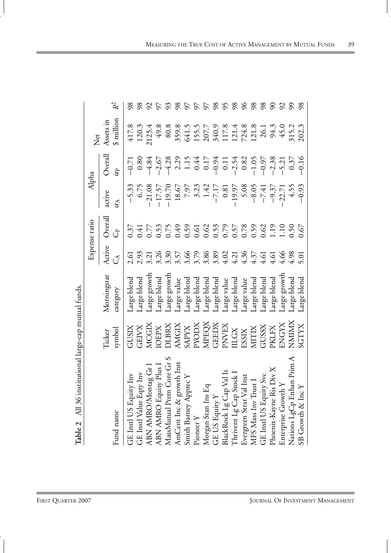| Table 2 All 36 institutional large-cap mutual funds.                                                                             |                                                                                                                                                                                                                                                                                                                                                                                                                                        |                            |               |               |                                                                                                            |            |           |                                     |
|----------------------------------------------------------------------------------------------------------------------------------|----------------------------------------------------------------------------------------------------------------------------------------------------------------------------------------------------------------------------------------------------------------------------------------------------------------------------------------------------------------------------------------------------------------------------------------|----------------------------|---------------|---------------|------------------------------------------------------------------------------------------------------------|------------|-----------|-------------------------------------|
|                                                                                                                                  |                                                                                                                                                                                                                                                                                                                                                                                                                                        |                            |               | Expense ratio | Alpha                                                                                                      |            | Net       |                                     |
|                                                                                                                                  | <b>Tcker</b>                                                                                                                                                                                                                                                                                                                                                                                                                           | Morningstar                | Active        | Overall       | active                                                                                                     | $O$ verall | Assets in |                                     |
| Fund name                                                                                                                        | symbol                                                                                                                                                                                                                                                                                                                                                                                                                                 | category                   | $\mathcal{L}$ | $\widehat{5}$ |                                                                                                            |            | i million | $\approx$                           |
| GE Instl US Equity Inv<br>GE Instl Value Eqty Inv<br>ABN AMRO/Montag Gr I<br>ABN AMRO Equity Plus I<br>MassMutual Prem Core Gr S | $\begin{array}{l} \text{GUSIX} \\ \text{GEDX} \\ \text{MGEN} \\ \text{DLBRX} \\ \text{MGEN} \\ \text{MCEX} \\ \text{MCEX} \\ \text{MCEX} \\ \text{MCEX} \\ \text{MCEX} \\ \text{MCEX} \\ \text{MCEX} \\ \text{MCEX} \\ \text{MCEX} \\ \text{MCEX} \\ \text{MCEX} \\ \text{MCEX} \\ \text{MCEX} \\ \text{MCEX} \\ \text{MCEX} \\ \text{MCEX} \\ \text{MCEX} \\ \text{MCEX} \\ \text{MCEX} \\ \text{MCEX} \\ \text{MCEX} \\ \text{MCEX}$ | arge blend                 | 2.61          |               |                                                                                                            |            |           |                                     |
|                                                                                                                                  |                                                                                                                                                                                                                                                                                                                                                                                                                                        | arge blend                 |               |               |                                                                                                            |            |           |                                     |
|                                                                                                                                  |                                                                                                                                                                                                                                                                                                                                                                                                                                        | arge growth                |               |               | $-5.33$<br>$6.75$<br>$-21.08$<br>$-17.57$<br>$-19.70$<br>$7.97$<br>$-3.23$<br>$1.42$<br>$-7.17$<br>$-7.17$ |            |           |                                     |
|                                                                                                                                  |                                                                                                                                                                                                                                                                                                                                                                                                                                        | arge blend                 |               |               |                                                                                                            |            |           |                                     |
|                                                                                                                                  |                                                                                                                                                                                                                                                                                                                                                                                                                                        | arge growth                |               |               |                                                                                                            |            |           |                                     |
| AmCent Inc & growth Inst                                                                                                         |                                                                                                                                                                                                                                                                                                                                                                                                                                        | arge value                 |               |               |                                                                                                            |            |           | 5 3 3 5 5 5 5 5 5 5 6 5 6 5 6 5 6 7 |
| Smith Barney Apprec Y                                                                                                            |                                                                                                                                                                                                                                                                                                                                                                                                                                        | arge blend                 |               |               |                                                                                                            |            |           |                                     |
| Pioneer Y                                                                                                                        |                                                                                                                                                                                                                                                                                                                                                                                                                                        | Large blend                |               |               |                                                                                                            |            |           |                                     |
| $E_{\rm q}$<br>Morgan Stan Ins E<br>GE US Equity Y                                                                               |                                                                                                                                                                                                                                                                                                                                                                                                                                        | arge blend                 |               |               |                                                                                                            |            |           |                                     |
|                                                                                                                                  |                                                                                                                                                                                                                                                                                                                                                                                                                                        | Large blend                |               |               |                                                                                                            |            |           |                                     |
|                                                                                                                                  |                                                                                                                                                                                                                                                                                                                                                                                                                                        | arge value                 |               |               |                                                                                                            |            |           |                                     |
|                                                                                                                                  |                                                                                                                                                                                                                                                                                                                                                                                                                                        | Large blend                |               |               |                                                                                                            |            |           |                                     |
| BlackRock Lg Cap Val Is<br>Thrivent Lg Cap Stock I<br>Evergreen Strat Val Inst                                                   |                                                                                                                                                                                                                                                                                                                                                                                                                                        | arge value                 |               |               |                                                                                                            |            |           |                                     |
| MFS Mass Inv Trust I<br>GE Instl US Equity Svc<br>Phoenix-Kayne Ris Div X<br>Enterprise Growth Y                                 |                                                                                                                                                                                                                                                                                                                                                                                                                                        | Large blend                |               |               |                                                                                                            |            |           |                                     |
|                                                                                                                                  |                                                                                                                                                                                                                                                                                                                                                                                                                                        |                            |               |               |                                                                                                            |            |           |                                     |
|                                                                                                                                  |                                                                                                                                                                                                                                                                                                                                                                                                                                        | Large blend<br>Large blend |               |               |                                                                                                            |            |           |                                     |
|                                                                                                                                  |                                                                                                                                                                                                                                                                                                                                                                                                                                        | arge growth.               |               |               |                                                                                                            |            |           |                                     |
|                                                                                                                                  |                                                                                                                                                                                                                                                                                                                                                                                                                                        | arge blend                 |               |               |                                                                                                            |            |           |                                     |
| Nations LgCp Enhan Prim A<br>SB Growth & Inc Y                                                                                   | NMIMIX<br>SGTYX                                                                                                                                                                                                                                                                                                                                                                                                                        | Large blend                | 5.01          |               | $\begin{array}{r} -19.97 \\ 5.08 \\ -8.05 \\ -7.41 \\ -9.37 \\ -22.71 \\ 4.55 \\ -0.93 \end{array}$        |            |           | 98                                  |

 $\overline{\phantom{a}}$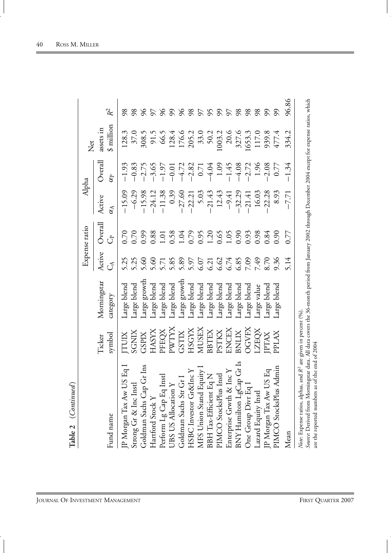| Table 2 (Continued)                                                                                                                                                                                                                                                           |              |              |                      |               |                  |          |                       |                     |
|-------------------------------------------------------------------------------------------------------------------------------------------------------------------------------------------------------------------------------------------------------------------------------|--------------|--------------|----------------------|---------------|------------------|----------|-----------------------|---------------------|
|                                                                                                                                                                                                                                                                               |              |              |                      | Expense ratio | Alpha            |          | Net                   |                     |
|                                                                                                                                                                                                                                                                               | Ticker       | Morningstar  | Active               | Overall       | Active           | Overall  | assets in             |                     |
| Fund name                                                                                                                                                                                                                                                                     | symbol       | category     | Ŝ                    | $\hat{5}$     | $\alpha_{\rm A}$ | $\alpha$ | $\frac{1}{2}$ million | $\rm \mathcal{R}^2$ |
| US Eq<br>JP Morgan Tax Aw                                                                                                                                                                                                                                                     | <b>TUIX</b>  | Large blend  | 5.25                 | 0.70          | $-15.09$         | $-1.93$  | 128.3                 | $\frac{8}{3}$       |
| Strong Gr & Inc Instl                                                                                                                                                                                                                                                         | <b>SGNIX</b> | Large blend  | 5.25                 | 0.70          | $-6.29$          | $-0.83$  | 37.0                  |                     |
| p Gr Ins<br>Goldman Sachs Ca                                                                                                                                                                                                                                                  | <b>GSPIX</b> | Large growth | 5.60                 | 0.99          | $-15.98$         | $-2.75$  | 308.5                 |                     |
| Hartford Stock Y                                                                                                                                                                                                                                                              | HASYX        | Large blend  | 5.60                 | 0.88          | $-24.12$         | $-3.65$  | 91.5                  |                     |
|                                                                                                                                                                                                                                                                               | PFEQX        | Large blend  | 5.71                 | 1.01          | $-11.38$         | $-1.97$  | 66.5                  | 58                  |
| Perform Lg Cap Eq Instl<br>UBS US Allocation Y                                                                                                                                                                                                                                | PWTYX        | Large blend  |                      | 0.58          | 0.39             | $-0.01$  | 128.4                 | 66                  |
| Goldman Sachs Str Gr I                                                                                                                                                                                                                                                        | <b>GSTIX</b> | Large growth |                      |               | $-27.60$         | $-4.72$  | 176.6<br>205.2        | $\%$                |
| $\&$ Inc $Y$<br>HSBC Investor Gr                                                                                                                                                                                                                                              | HSGYX        | Large blend  |                      | 1.04<br>0.79  | $-22.21$         | $-2.82$  |                       | $\frac{8}{6}$       |
| Equity<br>MFS Union Stand                                                                                                                                                                                                                                                     | <b>MUSEX</b> | Large blend  |                      | 0.95          | 5.03             | 0.71     | 33.0                  | 55                  |
| Eq N<br>BBH Tax-Efficient                                                                                                                                                                                                                                                     | BBTEX        | Large blend  |                      | 1.20<br>0.65  | $-21.43$         | $-4.04$  | 50.2                  | 56                  |
| PIMCO StocksPlu                                                                                                                                                                                                                                                               | <b>PSTKX</b> | Large blend  |                      |               | 12.43            | 1.09     | 1003.2                | $\mathfrak{S}$      |
| as Instl $\&$ Inc Y<br>Enterprise Grwth &<br>BNY Hamilton Lg                                                                                                                                                                                                                  | ENCEX        | Large blend  | 58977737895897897899 | 1.05          | $-9.41$          | $-1.45$  | 20.6                  | $\mathcal{L}$       |
| $Cap$ Gr Is                                                                                                                                                                                                                                                                   | <b>BNLIX</b> | Large blend  |                      | 0.90          | $-32.29$         | $-4.08$  | 327.6                 | 98                  |
| One Group Divr E                                                                                                                                                                                                                                                              | <b>NAADC</b> | Large blend  |                      | 0.93          | $-21.41$         | $-2.72$  | 1653.3                | 98                  |
| Lazard Equity Instl                                                                                                                                                                                                                                                           | <b>ZEQX</b>  | Large value  | 7.49                 | 0.98          | 16.03            | 1.96     | 117.0                 | 98                  |
| US Eq<br>JP Morgan Tax Aw                                                                                                                                                                                                                                                     | PTAX         | Large blend  | 8.70                 | 0.84          | $-22.28$         | $-2.08$  | 939.8                 |                     |
| s Admin<br>PIMCO StocksPlu                                                                                                                                                                                                                                                    | XATdc        | Large blend  | 9.36                 | 0.90          | 8.93             | 0.77     | 477.4                 | 99                  |
| Mean                                                                                                                                                                                                                                                                          |              |              | .14                  | 0.77          | 7.71             | 1.34     | 334.2                 | 96.86               |
| Source: Derived from Morningstar data. All data covers the 36-month period from January 2002 through December 2004 except for expense ratios, which<br>Note: Expense ratios, alphas, and $R^2$ are given in percent (%).<br>as of the end of 2004<br>are the reported numbers |              |              |                      |               |                  |          |                       |                     |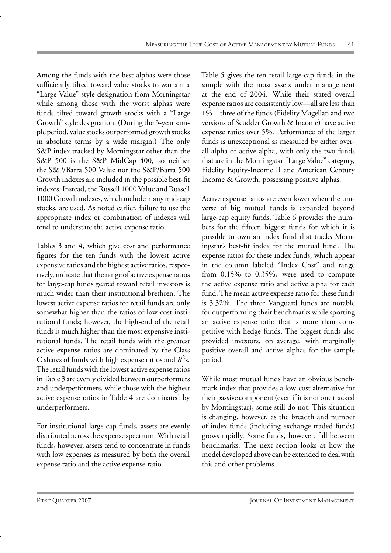Among the funds with the best alphas were those sufficiently tilted toward value stocks to warrant a "Large Value" style designation from Morningstar while among those with the worst alphas were funds tilted toward growth stocks with a "Large Growth" style designation. (During the 3-year sample period, value stocks outperformed growth stocks in absolute terms by a wide margin.) The only S&P index tracked by Morningstar other than the S&P 500 is the S&P MidCap 400, so neither the S&P/Barra 500 Value nor the S&P/Barra 500 Growth indexes are included in the possible best-fit indexes. Instead, the Russell 1000 Value and Russell 1000 Growth indexes, which include many mid-cap stocks, are used. As noted earlier, failure to use the appropriate index or combination of indexes will tend to understate the active expense ratio.

Tables 3 and 4, which give cost and performance figures for the ten funds with the lowest active expensive ratios and the highest active ratios, respectively, indicate that the range of active expense ratios for large-cap funds geared toward retail investors is much wider than their institutional brethren. The lowest active expense ratios for retail funds are only somewhat higher than the ratios of low-cost institutional funds; however, the high-end of the retail funds is much higher than the most expensive institutional funds. The retail funds with the greatest active expense ratios are dominated by the Class C shares of funds with high expense ratios and  $R^2$ s. The retail funds with the lowest active expense ratios inTable 3 are evenly divided between outperformers and underperformers, while those with the highest active expense ratios in Table 4 are dominated by underperformers.

For institutional large-cap funds, assets are evenly distributed across the expense spectrum. With retail funds, however, assets tend to concentrate in funds with low expenses as measured by both the overall expense ratio and the active expense ratio.

Table 5 gives the ten retail large-cap funds in the sample with the most assets under management at the end of 2004. While their stated overall expense ratios are consistently low—all are less than 1%—three of the funds (Fidelity Magellan and two versions of Scudder Growth & Income) have active expense ratios over 5%. Performance of the larger funds is unexceptional as measured by either overall alpha or active alpha, with only the two funds that are in the Morningstar "Large Value" category, Fidelity Equity-Income II and American Century Income & Growth, possessing positive alphas.

Active expense ratios are even lower when the universe of big mutual funds is expanded beyond large-cap equity funds. Table 6 provides the numbers for the fifteen biggest funds for which it is possible to own an index fund that tracks Morningstar's best-fit index for the mutual fund. The expense ratios for these index funds, which appear in the column labeled "Index Cost" and range from 0.15% to 0.35%, were used to compute the active expense ratio and active alpha for each fund. The mean active expense ratio for these funds is 3.32%. The three Vanguard funds are notable for outperforming their benchmarks while sporting an active expense ratio that is more than competitive with hedge funds. The biggest funds also provided investors, on average, with marginally positive overall and active alphas for the sample period.

While most mutual funds have an obvious benchmark index that provides a low-cost alternative for their passive component (even if it is not one tracked by Morningstar), some still do not. This situation is changing, however, as the breadth and number of index funds (including exchange traded funds) grows rapidly. Some funds, however, fall between benchmarks. The next section looks at how the model developed above can be extended to deal with this and other problems.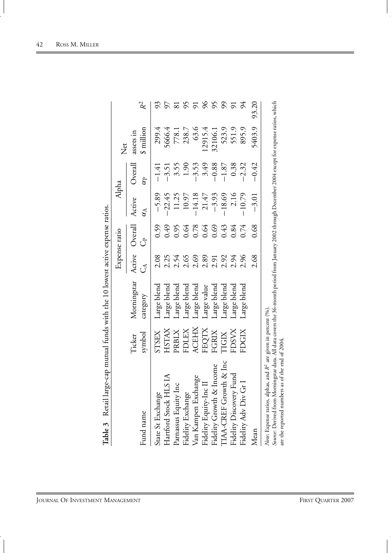| $\circ$                                                                                                                                                                                                                                                                          |               |             |                  |               |                  |                           |                       |                |
|----------------------------------------------------------------------------------------------------------------------------------------------------------------------------------------------------------------------------------------------------------------------------------|---------------|-------------|------------------|---------------|------------------|---------------------------|-----------------------|----------------|
|                                                                                                                                                                                                                                                                                  |               |             |                  | Expense ratio | Alpha            |                           | Net                   |                |
|                                                                                                                                                                                                                                                                                  | <b>Ticker</b> | Morningstar | Active           | Overall       | Active           | $O$ verall                | assets in             |                |
| Fund name                                                                                                                                                                                                                                                                        | symbol        | category    |                  | $\hat{5}$     | $\alpha_{\rm A}$ | $\overset{\circ}{\alpha}$ | $\frac{1}{2}$ million |                |
| State St Exchange                                                                                                                                                                                                                                                                | <b>STSEX</b>  | Large blend | 2.08             | 0.59          | $-5.89$          | $-1.41$                   | 299.4                 |                |
| Hartford Stock HLS IA                                                                                                                                                                                                                                                            | <b>HSTAX</b>  | Large blend | 2.25             | 0.49          | $-22.45$         | $-3.51$                   | 5666.4                |                |
| lnc<br>Parnassus Equity 1                                                                                                                                                                                                                                                        | XIBRi         | Large blend | 2.54             | 0.95          | 11.25            | 3.55                      | 778.1                 |                |
| Fidelity Exchange                                                                                                                                                                                                                                                                | FDLEX         | Large blend |                  | 0.64          | 10.97            | 1.90                      | 238.7                 |                |
| Van Kampen Exchange                                                                                                                                                                                                                                                              | ACEHX         | Large blend |                  | 0.78          | 14.18            | $-3.53$                   | 63.6                  |                |
| П<br>Fidelity Equity-In                                                                                                                                                                                                                                                          | FEQTX         | Large value | $2.89$<br>$2.91$ | 0.64          | 21.47            | 3.49                      | .2915.4               | S              |
| Fidelity Growth & Income                                                                                                                                                                                                                                                         | FGRIX         | Large blend |                  | 0.69          | $-3.93$          | $-0.88$                   | 32106.1               | 56             |
| TIAA-CREF Growth & Inc                                                                                                                                                                                                                                                           | <b>TIGIX</b>  | Large blend | 2.92<br>2.94     | 0.43          | $-18.69$         | $-1.87$                   | 523.9                 | $\mathfrak{S}$ |
| Fidelity Discovery Fund                                                                                                                                                                                                                                                          | FDSVX         | Large blend |                  | 0.84          | 2.16             | 0.38                      | 551.9                 | $\overline{5}$ |
| $G_I$<br>Fidelity Adv Div                                                                                                                                                                                                                                                        | FDGIX         | Large blend | 2.96             | 0.74          | $-10.79$         | $-2.32$                   | 895.9                 |                |
| Mean                                                                                                                                                                                                                                                                             |               |             | 2.68             | 0.68          | $-3.01$          | $-0.42$                   | 5403.9                | 93.20          |
| <i>Source:</i> Derived from Morningstar data. All data covers the 36-month period from January 2002 through December 2004 except for expense ratios, which<br>Note: Expense ratios, alphas, and $R^2$ are given in percent (%)<br>are the reported numbers as of the end of 2004 |               |             |                  |               |                  |                           |                       |                |

Table 3 Retail large-cap mutual funds with the 10 lowest active expense ratios. **Table 3** Retail large-cap mutual funds with the 10 lowest active expense ratios.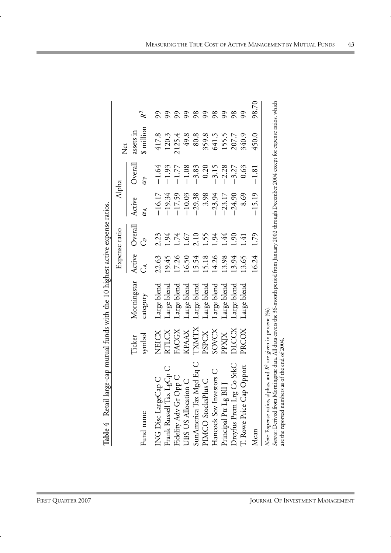|                                                                                                                                                                                                                                 |                  |                         |        | Expense ratio       |                            | Alpha              | Net                     |                             |
|---------------------------------------------------------------------------------------------------------------------------------------------------------------------------------------------------------------------------------|------------------|-------------------------|--------|---------------------|----------------------------|--------------------|-------------------------|-----------------------------|
| Fund name                                                                                                                                                                                                                       | symbol<br>Ticker | Morningstar<br>category | ا<br>آ | Active Overall<br>ै | Active<br>$\alpha_{\rm A}$ | Overal<br>$\alpha$ | \$ million<br>assets in | $\mathcal{R}^2$             |
| <b>NG</b> Disc LargeCap C                                                                                                                                                                                                       | NEICX            | Large blend             | 22.63  | 2.23                | $-16.17$                   | $-1.64$            | 417.8                   |                             |
| Frank Russell Tax LgCp C                                                                                                                                                                                                        | RTLCX            | Large blend             | 19.45  | 1.94                | $-19.34$                   | $-1.93$            | 120.3                   |                             |
| Fidelity Adv Gr Opp C                                                                                                                                                                                                           | FACGX            | Large blend             | 17.26  | 1.74                | $-17.59$                   | $-1.77$            | 2125.4                  | 66                          |
| UBS US Allocation C                                                                                                                                                                                                             | <b>KPAAX</b>     | Large blend             | 16.50  | 1.67                | $-10.03$                   | $-1.08$            | 49.8                    | $\mathcal{S}^{\mathcal{O}}$ |
| SunAmerica Tax Mgd Eq C                                                                                                                                                                                                         | IXMIX            | Large blend             | 15.54  | 2.10                | $-29.38$                   | $-3.83$            | 80.8                    | 98                          |
| PIMCO StocksPlus C                                                                                                                                                                                                              | PSPCX            | Large blend             | 15.18  | 1.55                | 3.98                       | 0.20               | 359.8                   | $\mathcal{S}^{\mathcal{S}}$ |
| Hancock Sov Investors C                                                                                                                                                                                                         | SOVCX            | Large blend             | 14.26  | .94                 | $-23.94$                   | $-3.15$            | 641.5                   | 98                          |
| Principal Ptr Lg B                                                                                                                                                                                                              | XIXdc            | Large blend             | 13.98  | .44                 | $-23.17$                   | $-2.28$            | 155.5                   | 99                          |
| Co StkC<br>Dreyfus Prem Lrg                                                                                                                                                                                                     | DICCX            | Large blend             | 13.94  | 90                  | $-24.90$                   | $-3.27$            | 207.7                   | 98                          |
| I. Rowe Price Cap Opport                                                                                                                                                                                                        | PRCOX            | Large blend             | 13.65  | $\dot{+}$           | 8.69                       | 0.63               | 340.9                   | 99                          |
| Mean                                                                                                                                                                                                                            |                  |                         | 16.24  | <b>C</b> Z-1        | $-15.19$                   | $-1.81$            | 450.0                   | 98.70                       |
| <i>Source:</i> Derived from Morningstar data. All data covers the 36-month period from January 2002 through December 2004 except for expense ratios, which<br>Note: Expense ratios, alphas, and $R^2$ are given in percent (%). |                  |                         |        |                     |                            |                    |                         |                             |

are the reported numbers as of the end of 2004. are the reported numbers as of the end of 2004. i.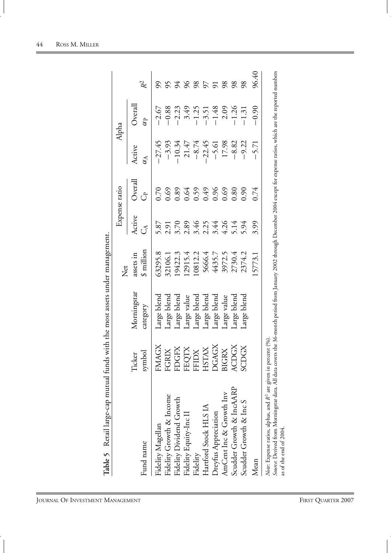|                                                                                                                                                                                                                                                                                    |                             |                         | Net                        |                       | Expense ratio              |                                                      | Alpha                          |                |
|------------------------------------------------------------------------------------------------------------------------------------------------------------------------------------------------------------------------------------------------------------------------------------|-----------------------------|-------------------------|----------------------------|-----------------------|----------------------------|------------------------------------------------------|--------------------------------|----------------|
| Fund name                                                                                                                                                                                                                                                                          | symbol<br>ker<br>ËЧ         | Morningstar<br>category | \$ million<br>assets in    | Active<br>$\tilde{C}$ | $O$ veral<br>$\widehat{C}$ | Active                                               | $O$ verall<br>$\alpha_{\rm P}$ | $R^2$          |
| Fidelity Magellan                                                                                                                                                                                                                                                                  | FMAGX                       | Large blend             | 53295.8                    | 5.87                  | 0.70                       | $-27.45$                                             | $-2.67$                        |                |
| Fidelity Growth & Income                                                                                                                                                                                                                                                           | RIX<br>C<br>H               | Large blend             | 32106.1                    | 2.91                  | 0.69                       | $-3.93$                                              | $-0.88$                        |                |
| Fidelity Dividend Growth                                                                                                                                                                                                                                                           | FDGFX                       | Large blend             | 9422.3                     | 3.70                  | 0.89                       | $-10.34$                                             | $-2.23$                        | 54             |
| Fidelity Equity-Inc 11                                                                                                                                                                                                                                                             | XIN<br>Ē                    | Large value             | 12915.4                    | 2.89                  | 0.64                       | 21.47                                                | 3.49                           | $\%$           |
| Fidelity                                                                                                                                                                                                                                                                           | $\overline{\text{M}}$<br>ΕĘ | Large blend             | 10812.2                    | 3.46                  | $0.59$<br>0.49             |                                                      | $-1.25$                        | 98             |
| Hartford Stock HLS IA                                                                                                                                                                                                                                                              | <b>XALI</b><br>ЯH           | Large blend             | 5666.4                     | 2.25                  |                            |                                                      | $-3.51$                        |                |
| Dreyfus Appreciation                                                                                                                                                                                                                                                               | DGAGX                       | Large blend             | 4435.7<br>3972.5<br>2730.4 |                       | 0.96                       | $-8.74$<br>$-22.45$<br>$-5.61$<br>$17.98$<br>$-8.82$ | $-1.48$                        | $\overline{5}$ |
| AmCent Inc & Growth Inv                                                                                                                                                                                                                                                            | <b>BIGRX</b>                | Large value             |                            | 3.44<br>4.26<br>5.94  | 0.69                       |                                                      | 2.09                           | 98             |
| Scudder Growth & IncAARP                                                                                                                                                                                                                                                           | DGX<br>ACJ                  | Large blend             |                            |                       | 0.80                       |                                                      | $-1.26$                        | 98             |
| Scudder Growth & Inc S                                                                                                                                                                                                                                                             | DGX<br>SC                   | Large blend             | 2374.2                     |                       | 0.90                       | $-9.22$                                              | $-1.31$                        | $\overline{8}$ |
| Mean                                                                                                                                                                                                                                                                               |                             |                         | 5773.1                     | 3.99                  | 0.74                       | $-5.71$                                              | $-0.90$                        | 96.40          |
| <i>Source:</i> Derived from Morningstar data. All data covers the 36-month period from January 2002 through December 2004 except for expense ratios, which are the reported numbers<br>Note: Expense ratios, alphas, and $R^2$ are given in percent (%).<br>as of the end of 2004. |                             |                         |                            |                       |                            |                                                      |                                |                |

Table 5 Retail large-cap mutual funds with the most assets under management. **Table 5** Retail large-cap mutual funds with the most assets under management.

JOURNAL OF INVESTMENT MANAGEMENT **FIRST QUARTER 2007** 

 $\overline{\phantom{a}}$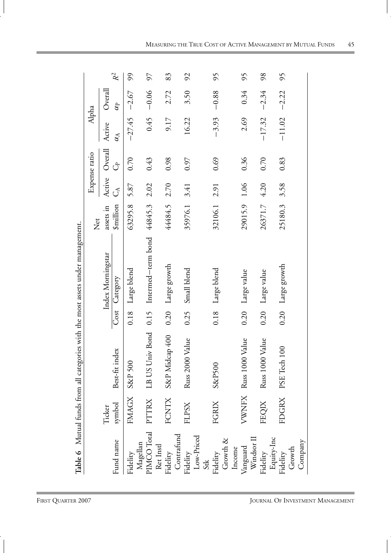|                                                                                 | エトロ しょう |
|---------------------------------------------------------------------------------|---------|
|                                                                                 |         |
| lable 6 Nutual funds from all categories with the most assets under management. |         |
| Ī                                                                               |         |

 $\overline{\phantom{a}}$ 

 $\overline{\phantom{a}}$ 

Ĩ.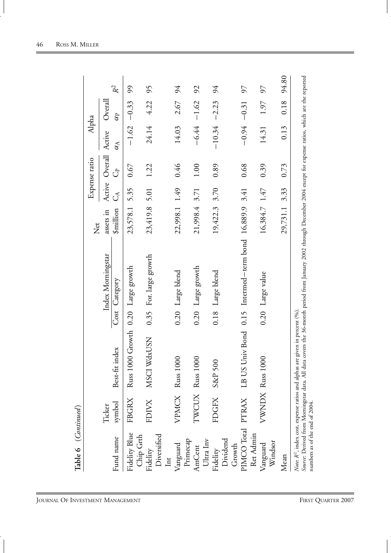|                                                                              |              |                                                                               |      |                                                                                                                           | <b>Net</b>         |                            | Expense ratio                 | Alpha            |                |                             |
|------------------------------------------------------------------------------|--------------|-------------------------------------------------------------------------------|------|---------------------------------------------------------------------------------------------------------------------------|--------------------|----------------------------|-------------------------------|------------------|----------------|-----------------------------|
|                                                                              | Ticker       |                                                                               |      | Index Morningstar                                                                                                         | assets in          |                            | Active Overall Active Overall |                  |                |                             |
| Fund name                                                                    | symbol       | Best-fit index                                                                |      | Cost Category                                                                                                             | $\text{simillion}$ | $\mathcal{C}_{\mathbb{A}}$ | Ĵ                             | $\alpha_{\rm A}$ | $\alpha$       | $\mathcal{R}^2$             |
| Fidelity Blue                                                                | FBGRX        | 000 Growth<br>Russ <sub>1</sub>                                               |      | 0.20 Large growth                                                                                                         | 23,578.1           | 5.35                       | 0.67                          |                  | $-1.62 - 0.33$ | $\mathcal{S}^{\mathcal{O}}$ |
| Chip Grth                                                                    |              |                                                                               |      |                                                                                                                           |                    |                            |                               |                  |                |                             |
| Fidelity                                                                     | <b>FDIVX</b> | WdxUSN<br><b>NSCI</b>                                                         | 0.35 | For. large growth                                                                                                         | 23,419.8 5.01      |                            | 1.22                          |                  | 24.14 4.22     | 95                          |
| Diversified                                                                  |              |                                                                               |      |                                                                                                                           |                    |                            |                               |                  |                |                             |
| Int                                                                          |              |                                                                               |      |                                                                                                                           |                    |                            |                               |                  |                |                             |
| Vanguard                                                                     | VPMCX Russ 1 | 000                                                                           |      | 0.20 Large blend                                                                                                          | 22,998.1 1.49      |                            | 0.46                          | 14.03            | 2.67           | 94                          |
| Primecap                                                                     |              |                                                                               |      |                                                                                                                           |                    |                            |                               |                  |                |                             |
| <b>AmCent</b>                                                                | TWCUX Russ 1 | 000                                                                           |      | 0.20 Large growth                                                                                                         | 21,998.4 3.71      |                            | 1.00                          |                  | $-6.44 - 1.62$ | $\overline{56}$             |
| Ultra Inv                                                                    |              |                                                                               |      |                                                                                                                           |                    |                            |                               |                  |                |                             |
| Fidelity                                                                     |              | FDGFX S&P 500                                                                 |      | 0.18 Large blend                                                                                                          | 19,422.3 3.70      |                            | 0.89                          | $-10.34 - 2.23$  |                | 94                          |
| Dividend                                                                     |              |                                                                               |      |                                                                                                                           |                    |                            |                               |                  |                |                             |
| Growth                                                                       |              |                                                                               |      |                                                                                                                           |                    |                            |                               |                  |                |                             |
| PIMCO Total PTRAX                                                            |              | LB US Univ Bond                                                               |      | 0.15 Intermed-term bond 16,889.9 3.41                                                                                     |                    |                            | 0.68                          | $-0.94$          | $-0.31$        | 57                          |
| Ret Admin                                                                    |              |                                                                               |      |                                                                                                                           |                    |                            |                               |                  |                |                             |
| Vanguard                                                                     | VWNDX Russ 1 | 000                                                                           |      | 0.20 Large value                                                                                                          | 16,384.7 1.47      |                            | 0.39                          | 14.31            | 1.97           | 56                          |
| Windsor                                                                      |              |                                                                               |      |                                                                                                                           |                    |                            |                               |                  |                |                             |
| Mean                                                                         |              |                                                                               |      |                                                                                                                           | 29,731.1 3.33      |                            | 0.73                          | 0.13             | 0.18           | 94.80                       |
| Source: Derived from Morningstar data. All<br>numbers as of the end of 2004. |              | Note: $R^2$ , index cost, expense ratios and alphas are given in percent (%). |      | data covers the 36-month period from January 2002 through December 2004 except for expense ratios, which are the reported |                    |                            |                               |                  |                |                             |

Table 6 (Continued)

JOURNAL OF INVESTMENT MANAGEMENT **FIRST QUARTER 2007** 

 $\overline{\phantom{a}}$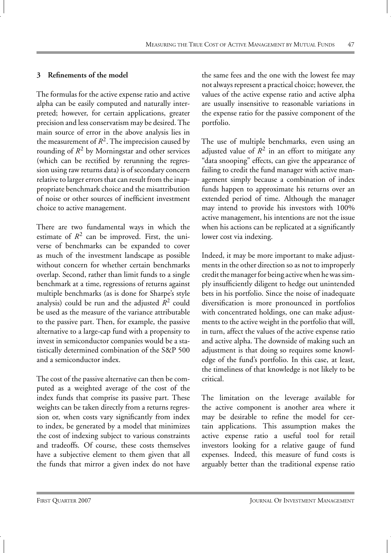# **3 Refinements of the model**

The formulas for the active expense ratio and active alpha can be easily computed and naturally interpreted; however, for certain applications, greater precision and less conservatism may be desired. The main source of error in the above analysis lies in the measurement of  $R^2$ . The imprecision caused by rounding of  $R^2$  by Morningstar and other services (which can be rectified by rerunning the regression using raw returns data) is of secondary concern relative to larger errors that can result from the inappropriate benchmark choice and the misattribution of noise or other sources of inefficient investment choice to active management.

There are two fundamental ways in which the estimate of  $R^2$  can be improved. First, the universe of benchmarks can be expanded to cover as much of the investment landscape as possible without concern for whether certain benchmarks overlap. Second, rather than limit funds to a single benchmark at a time, regressions of returns against multiple benchmarks (as is done for Sharpe's style analysis) could be run and the adjusted  $R^2$  could be used as the measure of the variance attributable to the passive part. Then, for example, the passive alternative to a large-cap fund with a propensity to invest in semiconductor companies would be a statistically determined combination of the S&P 500 and a semiconductor index.

The cost of the passive alternative can then be computed as a weighted average of the cost of the index funds that comprise its passive part. These weights can be taken directly from a returns regression or, when costs vary significantly from index to index, be generated by a model that minimizes the cost of indexing subject to various constraints and tradeoffs. Of course, these costs themselves have a subjective element to them given that all the funds that mirror a given index do not have the same fees and the one with the lowest fee may not always represent a practical choice; however, the values of the active expense ratio and active alpha are usually insensitive to reasonable variations in the expense ratio for the passive component of the portfolio.

The use of multiple benchmarks, even using an adjusted value of  $R^2$  in an effort to mitigate any "data snooping" effects, can give the appearance of failing to credit the fund manager with active management simply because a combination of index funds happen to approximate his returns over an extended period of time. Although the manager may intend to provide his investors with 100% active management, his intentions are not the issue when his actions can be replicated at a significantly lower cost via indexing.

Indeed, it may be more important to make adjustments in the other direction so as not to improperly credit the manager for being active when he was simply insufficiently diligent to hedge out unintended bets in his portfolio. Since the noise of inadequate diversification is more pronounced in portfolios with concentrated holdings, one can make adjustments to the active weight in the portfolio that will, in turn, affect the values of the active expense ratio and active alpha. The downside of making such an adjustment is that doing so requires some knowledge of the fund's portfolio. In this case, at least, the timeliness of that knowledge is not likely to be critical.

The limitation on the leverage available for the active component is another area where it may be desirable to refine the model for certain applications. This assumption makes the active expense ratio a useful tool for retail investors looking for a relative gauge of fund expenses. Indeed, this measure of fund costs is arguably better than the traditional expense ratio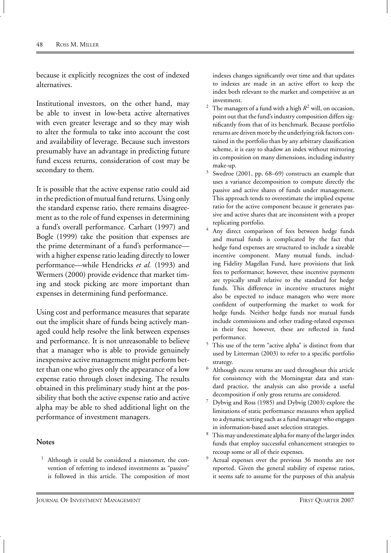because it explicitly recognizes the cost of indexed alternatives.

Institutional investors, on the other hand, may be able to invest in low-beta active alternatives with even greater leverage and so they may wish to alter the formula to take into account the cost and availability of leverage. Because such investors presumably have an advantage in predicting future fund excess returns, consideration of cost may be secondary to them.

It is possible that the active expense ratio could aid in the prediction of mutual fund returns. Using only the standard expense ratio, there remains disagreement as to the role of fund expenses in determining a fund's overall performance. Carhart (1997) and Bogle (1999) take the position that expenses are the prime determinant of a fund's performance with a higher expense ratio leading directly to lower performance—while Hendricks *et al.* (1993) and Wermers (2000) provide evidence that market timing and stock picking are more important than expenses in determining fund performance.

Using cost and performance measures that separate out the implicit share of funds being actively managed could help resolve the link between expenses and performance. It is not unreasonable to believe that a manager who is able to provide genuinely inexpensive active management might perform better than one who gives only the appearance of a low expense ratio through closet indexing. The results obtained in this preliminary study hint at the possibility that both the active expense ratio and active alpha may be able to shed additional light on the performance of investment managers.

### **Notes**

<sup>1</sup> Although it could be considered a misnomer, the convention of referring to indexed investments as "passive" is followed in this article. The composition of most indexes changes significantly over time and that updates to indexes are made in an active effort to keep the index both relevant to the market and competitive as an investment.

- The managers of a fund with a high  $R^2$  will, on occasion, point out that the fund's industry composition differs significantly from that of its benchmark. Because portfolio returns are driven more by the underlying risk factors contained in the portfolio than by any arbitrary classification scheme, it is easy to shadow an index without mirroring its composition on many dimensions, including industry make-up.
- <sup>3</sup> Swedroe (2001, pp. 68–69) constructs an example that uses a variance decomposition to compute directly the passive and active shares of funds under management. This approach tends to overestimate the implied expense ratio for the active component because it generates passive and active shares that are inconsistent with a proper replicating portfolio.
- Any direct comparison of fees between hedge funds and mutual funds is complicated by the fact that hedge fund expenses are structured to include a sizeable incentive component. Many mutual funds, including Fidelity Magellan Fund, have provisions that link fees to performance; however, these incentive payments are typically small relative to the standard for hedge funds. This difference in incentive structures might also be expected to induce managers who were more confident of outperforming the market to work for hedge funds. Neither hedge funds nor mutual funds include commissions and other trading-related expenses in their fees; however, these are reflected in fund performance.
- This use of the term "active alpha" is distinct from that used by Litterman (2003) to refer to a specific portfolio strategy.
- <sup>6</sup> Although excess returns are used throughout this article for consistency with the Morningstar data and standard practice, the analysis can also provide a useful decomposition if only gross returns are considered.
- Dybvig and Ross (1985) and Dybvig (2003) explore the limitations of static performance measures when applied to a dynamic setting such as a fund manager who engages in information-based asset selection strategies.
- $8$  This may underestimate alpha for many of the larger index funds that employ successful enhancement strategies to recoup some or all of their expenses.
- <sup>9</sup> Actual expenses over the previous 36 months are not reported. Given the general stability of expense ratios, it seems safe to assume for the purposes of this analysis